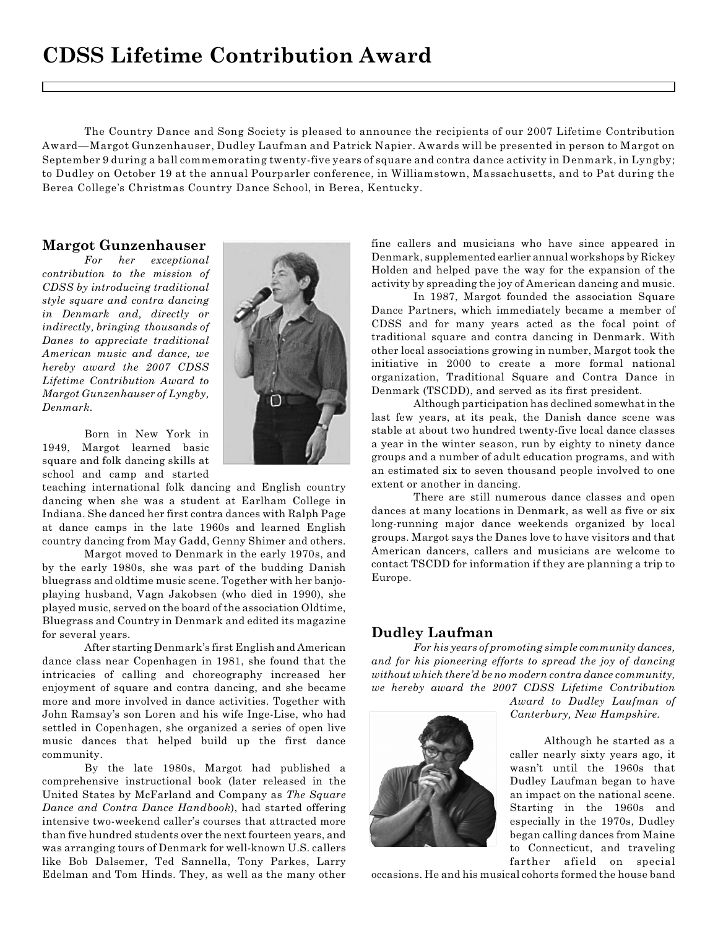The Country Dance and Song Society is pleased to announce the recipients of our 2007 Lifetime Contribution Award—Margot Gunzenhauser, Dudley Laufman and Patrick Napier. Awards will be presented in person to Margot on September 9 during a ball commemorating twenty-five years of square and contra dance activity in Denmark, in Lyngby; to Dudley on October 19 at the annual Pourparler conference, in Williamstown, Massachusetts, and to Pat during the Berea College's Christmas Country Dance School, in Berea, Kentucky.

## **Margot Gunzenhauser**

*For her exceptional contribution to the mission of CDSS by introducing traditional style square and contra dancing in Denmark and, directly or indirectly, bringing thousands of Danes to appreciate traditional American music and dance, we hereby award the 2007 CDSS Lifetime Contribution Award to Margot Gunzenhauser of Lyngby, Denmark.*

Born in New York in 1949, Margot learned basic square and folk dancing skills at school and camp and started

teaching international folk dancing and English country dancing when she was a student at Earlham College in Indiana. She danced her first contra dances with Ralph Page at dance camps in the late 1960s and learned English country dancing from May Gadd, Genny Shimer and others.

Margot moved to Denmark in the early 1970s, and by the early 1980s, she was part of the budding Danish bluegrass and oldtime music scene. Together with her banjoplaying husband, Vagn Jakobsen (who died in 1990), she played music, served on the board of the association Oldtime, Bluegrass and Country in Denmark and edited its magazine for several years.

After starting Denmark's first English and American dance class near Copenhagen in 1981, she found that the intricacies of calling and choreography increased her enjoyment of square and contra dancing, and she became more and more involved in dance activities. Together with John Ramsay's son Loren and his wife Inge-Lise, who had settled in Copenhagen, she organized a series of open live music dances that helped build up the first dance community.

By the late 1980s, Margot had published a comprehensive instructional book (later released in the United States by McFarland and Company as *The Square Dance and Contra Dance Handbook*), had started offering intensive two-weekend caller's courses that attracted more than five hundred students over the next fourteen years, and was arranging tours of Denmark for well-known U.S. callers like Bob Dalsemer, Ted Sannella, Tony Parkes, Larry Edelman and Tom Hinds. They, as well as the many other



fine callers and musicians who have since appeared in Denmark, supplemented earlier annual workshops by Rickey Holden and helped pave the way for the expansion of the activity by spreading the joy of American dancing and music.

In 1987, Margot founded the association Square Dance Partners, which immediately became a member of CDSS and for many years acted as the focal point of traditional square and contra dancing in Denmark. With other local associations growing in number, Margot took the initiative in 2000 to create a more formal national organization, Traditional Square and Contra Dance in Denmark (TSCDD), and served as its first president.

Although participation has declined somewhat in the last few years, at its peak, the Danish dance scene was stable at about two hundred twenty-five local dance classes a year in the winter season, run by eighty to ninety dance groups and a number of adult education programs, and with an estimated six to seven thousand people involved to one extent or another in dancing.

There are still numerous dance classes and open dances at many locations in Denmark, as well as five or six long-running major dance weekends organized by local groups. Margot says the Danes love to have visitors and that American dancers, callers and musicians are welcome to contact TSCDD for information if they are planning a trip to Europe.

## **Dudley Laufman**

*For his years of promoting simple community dances, and for his pioneering efforts to spread the joy of dancing without which there'd be no modern contra dance community, we hereby award the 2007 CDSS Lifetime Contribution*



*Award to Dudley Laufman of Canterbury, New Hampshire.*

 Although he started as a caller nearly sixty years ago, it wasn't until the 1960s that Dudley Laufman began to have an impact on the national scene. Starting in the 1960s and especially in the 1970s, Dudley began calling dances from Maine to Connecticut, and traveling farther afield on special

occasions. He and his musical cohorts formed the house band